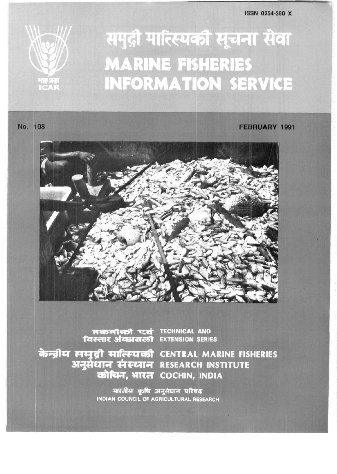**ISSN 0254-380 X** 

## समुद्री मात्स्यिकी सूचना सेवा **MARINE FISHERIES INFORMATION SERVICE**

No. 108

## **FEBRUARY 1991**



तकनीकी एवं TECHNICAL AND

केन्द्रीय समुद्री मात्स्यिकी CENTRAL MARINE FISHERIES अनुसंधान संस्थान RESEARCH INSTITUTE कोचिन, भारत COCHIN, INDIA

> भारतीय कृषि अनुसंधान परिषद INDIAN COUNCIL OF AGRICULTURAL RESEARCH